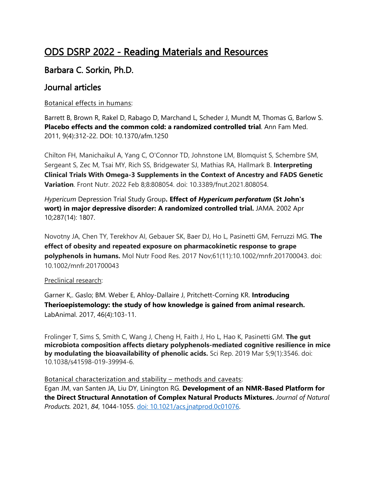# ODS DSRP 2022 - Reading Materials and Resources

## Barbara C. Sorkin, Ph.D.

## Journal articles

#### Botanical effects in humans:

Barrett B, Brown R, Rakel D, Rabago D, Marchand L, Scheder J, Mundt M, Thomas G, Barlow S. **Placebo effects and the common cold: a randomized controlled trial**. Ann Fam Med. 2011, 9(4):312-22. DOI: 10.1370/afm.1250

Chilton FH, Manichaikul A, Yang C, O'Connor TD, Johnstone LM, Blomquist S, Schembre SM, Sergeant S, Zec M, Tsai MY, Rich SS, Bridgewater SJ, Mathias RA, Hallmark B. **Interpreting Clinical Trials With Omega-3 Supplements in the Context of Ancestry and FADS Genetic Variation**. Front Nutr. 2022 Feb 8;8:808054. doi: 10.3389/fnut.2021.808054.

*Hypericum* Depression Trial Study Group**. Effect of** *Hypericum perforatum* **(St John's wort) in major depressive disorder: A randomized controlled trial.** JAMA. 2002 Apr 10;287(14): 1807.

Novotny JA, Chen TY, Terekhov AI, Gebauer SK, Baer DJ, Ho L, Pasinetti GM, Ferruzzi MG. **The effect of obesity and repeated exposure on pharmacokinetic response to grape polyphenols in humans.** Mol Nutr Food Res. 2017 Nov;61(11):10.1002/mnfr.201700043. doi: 10.1002/mnfr.201700043

#### Preclinical research:

Garner K,. Gaslo; BM. Weber E, Ahloy-Dallaire J, Pritchett-Corning KR. **Introducing Therioepistemology: the study of how knowledge is gained from animal research.**  LabAnimal. 2017, 46(4):103-11.

Frolinger T, Sims S, Smith C, Wang J, Cheng H, Faith J, Ho L, Hao K, Pasinetti GM. **The gut microbiota composition affects dietary polyphenols-mediated cognitive resilience in mice by modulating the bioavailability of phenolic acids.** Sci Rep. 2019 Mar 5;9(1):3546. doi: 10.1038/s41598-019-39994-6.

#### Botanical characterization and stability – methods and caveats:

Egan JM, van Santen JA, Liu DY, Linington RG. **Development of an NMR-Based Platform for the Direct Structural Annotation of Complex Natural Products Mixtures.** *Journal of Natural Products.* 2021, *84*, 1044-1055. [doi: 10.1021/acs.jnatprod.0c01076.](https://doi.org/10.1021/acs.jnatprod.0c01076)